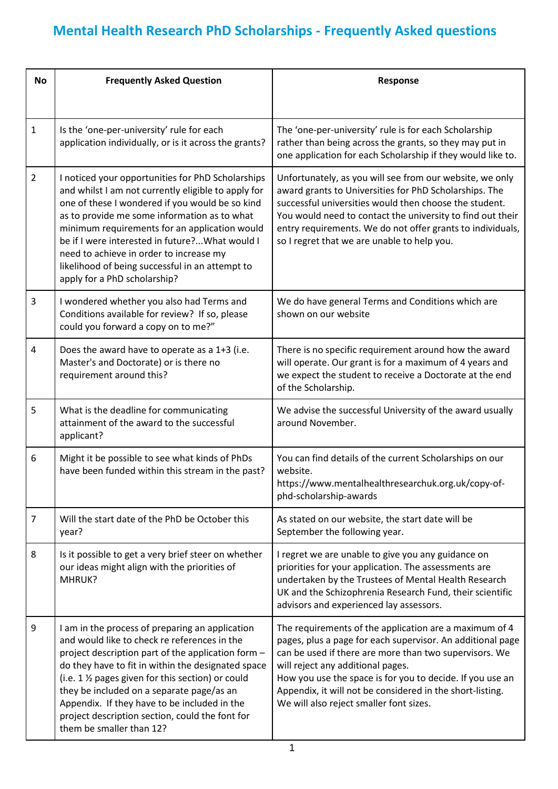## **Mental Health Research PhD Scholarships - Frequently Asked questions**

| <b>No</b>        | <b>Frequently Asked Question</b>                                                                                                                                                                                                                                                                                                                                                                                                              | Response                                                                                                                                                                                                                                                                                                                                                                                 |
|------------------|-----------------------------------------------------------------------------------------------------------------------------------------------------------------------------------------------------------------------------------------------------------------------------------------------------------------------------------------------------------------------------------------------------------------------------------------------|------------------------------------------------------------------------------------------------------------------------------------------------------------------------------------------------------------------------------------------------------------------------------------------------------------------------------------------------------------------------------------------|
| $\mathbf{1}$     | Is the 'one-per-university' rule for each<br>application individually, or is it across the grants?                                                                                                                                                                                                                                                                                                                                            | The 'one-per-university' rule is for each Scholarship<br>rather than being across the grants, so they may put in<br>one application for each Scholarship if they would like to.                                                                                                                                                                                                          |
| $\overline{2}$   | I noticed your opportunities for PhD Scholarships<br>and whilst I am not currently eligible to apply for<br>one of these I wondered if you would be so kind<br>as to provide me some information as to what<br>minimum requirements for an application would<br>be if I were interested in future? What would I<br>need to achieve in order to increase my<br>likelihood of being successful in an attempt to<br>apply for a PhD scholarship? | Unfortunately, as you will see from our website, we only<br>award grants to Universities for PhD Scholarships. The<br>successful universities would then choose the student.<br>You would need to contact the university to find out their<br>entry requirements. We do not offer grants to individuals,<br>so I regret that we are unable to help you.                                  |
| $\overline{3}$   | I wondered whether you also had Terms and<br>Conditions available for review? If so, please<br>could you forward a copy on to me?"                                                                                                                                                                                                                                                                                                            | We do have general Terms and Conditions which are<br>shown on our website                                                                                                                                                                                                                                                                                                                |
| 4                | Does the award have to operate as a 1+3 (i.e.<br>Master's and Doctorate) or is there no<br>requirement around this?                                                                                                                                                                                                                                                                                                                           | There is no specific requirement around how the award<br>will operate. Our grant is for a maximum of 4 years and<br>we expect the student to receive a Doctorate at the end<br>of the Scholarship.                                                                                                                                                                                       |
| 5                | What is the deadline for communicating<br>attainment of the award to the successful<br>applicant?                                                                                                                                                                                                                                                                                                                                             | We advise the successful University of the award usually<br>around November.                                                                                                                                                                                                                                                                                                             |
| $\boldsymbol{6}$ | Might it be possible to see what kinds of PhDs<br>have been funded within this stream in the past?                                                                                                                                                                                                                                                                                                                                            | You can find details of the current Scholarships on our<br>website.<br>https://www.mentalhealthresearchuk.org.uk/copy-of-<br>phd-scholarship-awards                                                                                                                                                                                                                                      |
| $\overline{7}$   | Will the start date of the PhD be October this<br>year?                                                                                                                                                                                                                                                                                                                                                                                       | As stated on our website, the start date will be<br>September the following year.                                                                                                                                                                                                                                                                                                        |
| 8                | Is it possible to get a very brief steer on whether<br>our ideas might align with the priorities of<br>MHRUK?                                                                                                                                                                                                                                                                                                                                 | I regret we are unable to give you any guidance on<br>priorities for your application. The assessments are<br>undertaken by the Trustees of Mental Health Research<br>UK and the Schizophrenia Research Fund, their scientific<br>advisors and experienced lay assessors.                                                                                                                |
| 9                | I am in the process of preparing an application<br>and would like to check re references in the<br>project description part of the application form -<br>do they have to fit in within the designated space<br>(i.e. 1 1/2 pages given for this section) or could<br>they be included on a separate page/as an<br>Appendix. If they have to be included in the<br>project description section, could the font for<br>them be smaller than 12? | The requirements of the application are a maximum of 4<br>pages, plus a page for each supervisor. An additional page<br>can be used if there are more than two supervisors. We<br>will reject any additional pages.<br>How you use the space is for you to decide. If you use an<br>Appendix, it will not be considered in the short-listing.<br>We will also reject smaller font sizes. |